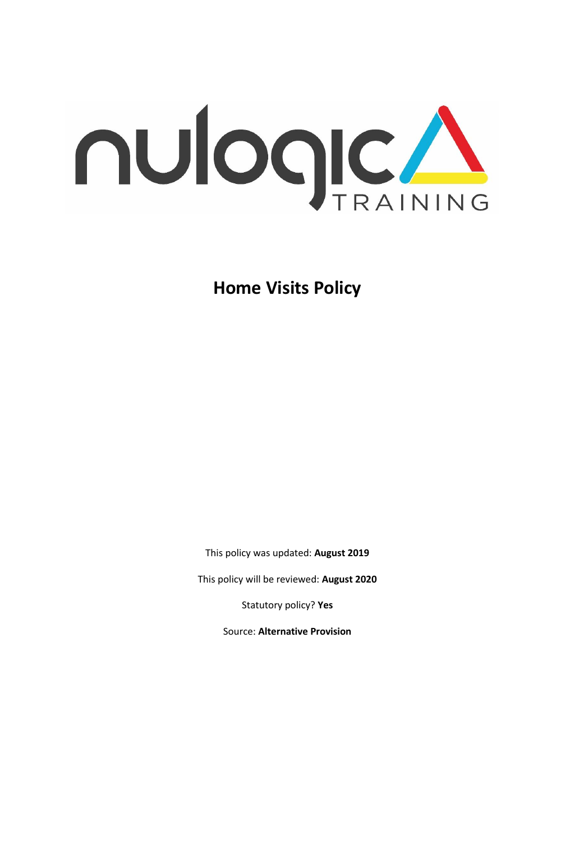

**Home Visits Policy** 

This policy was updated: **August 2019**

This policy will be reviewed: **August 2020**

Statutory policy? **Yes**

Source: **Alternative Provision**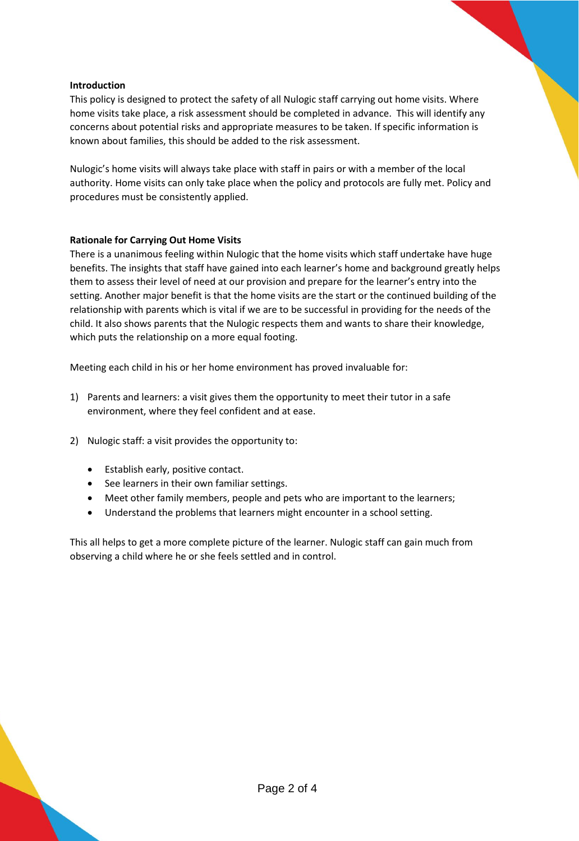# **Introduction**

This policy is designed to protect the safety of all Nulogic staff carrying out home visits. Where home visits take place, a risk assessment should be completed in advance. This will identify any concerns about potential risks and appropriate measures to be taken. If specific information is known about families, this should be added to the risk assessment.

Nulogic's home visits will always take place with staff in pairs or with a member of the local authority. Home visits can only take place when the policy and protocols are fully met. Policy and procedures must be consistently applied.

### **Rationale for Carrying Out Home Visits**

There is a unanimous feeling within Nulogic that the home visits which staff undertake have huge benefits. The insights that staff have gained into each learner's home and background greatly helps them to assess their level of need at our provision and prepare for the learner's entry into the setting. Another major benefit is that the home visits are the start or the continued building of the relationship with parents which is vital if we are to be successful in providing for the needs of the child. It also shows parents that the Nulogic respects them and wants to share their knowledge, which puts the relationship on a more equal footing.

Meeting each child in his or her home environment has proved invaluable for:

- 1) Parents and learners: a visit gives them the opportunity to meet their tutor in a safe environment, where they feel confident and at ease.
- 2) Nulogic staff: a visit provides the opportunity to:
	- Establish early, positive contact.
	- See learners in their own familiar settings.
	- Meet other family members, people and pets who are important to the learners;
	- Understand the problems that learners might encounter in a school setting.

This all helps to get a more complete picture of the learner. Nulogic staff can gain much from observing a child where he or she feels settled and in control.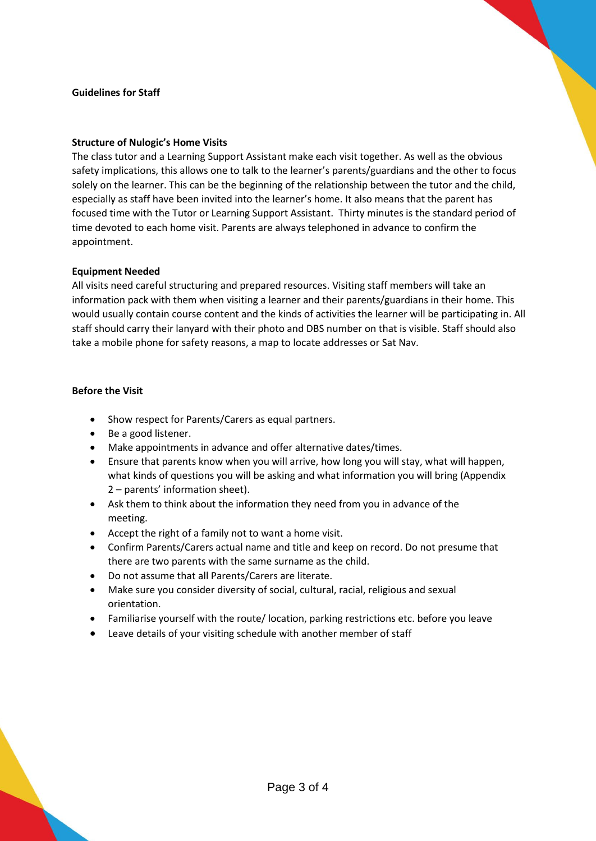#### **Guidelines for Staff**

#### **Structure of Nulogic's Home Visits**

The class tutor and a Learning Support Assistant make each visit together. As well as the obvious safety implications, this allows one to talk to the learner's parents/guardians and the other to focus solely on the learner. This can be the beginning of the relationship between the tutor and the child, especially as staff have been invited into the learner's home. It also means that the parent has focused time with the Tutor or Learning Support Assistant. Thirty minutes is the standard period of time devoted to each home visit. Parents are always telephoned in advance to confirm the appointment.

### **Equipment Needed**

All visits need careful structuring and prepared resources. Visiting staff members will take an information pack with them when visiting a learner and their parents/guardians in their home. This would usually contain course content and the kinds of activities the learner will be participating in. All staff should carry their lanyard with their photo and DBS number on that is visible. Staff should also take a mobile phone for safety reasons, a map to locate addresses or Sat Nav.

### **Before the Visit**

- Show respect for Parents/Carers as equal partners.
- Be a good listener.
- Make appointments in advance and offer alternative dates/times.
- Ensure that parents know when you will arrive, how long you will stay, what will happen, what kinds of questions you will be asking and what information you will bring (Appendix 2 – parents' information sheet).
- Ask them to think about the information they need from you in advance of the meeting.
- Accept the right of a family not to want a home visit.
- Confirm Parents/Carers actual name and title and keep on record. Do not presume that there are two parents with the same surname as the child.
- Do not assume that all Parents/Carers are literate.
- Make sure you consider diversity of social, cultural, racial, religious and sexual orientation.
- Familiarise yourself with the route/ location, parking restrictions etc. before you leave
- Leave details of your visiting schedule with another member of staff